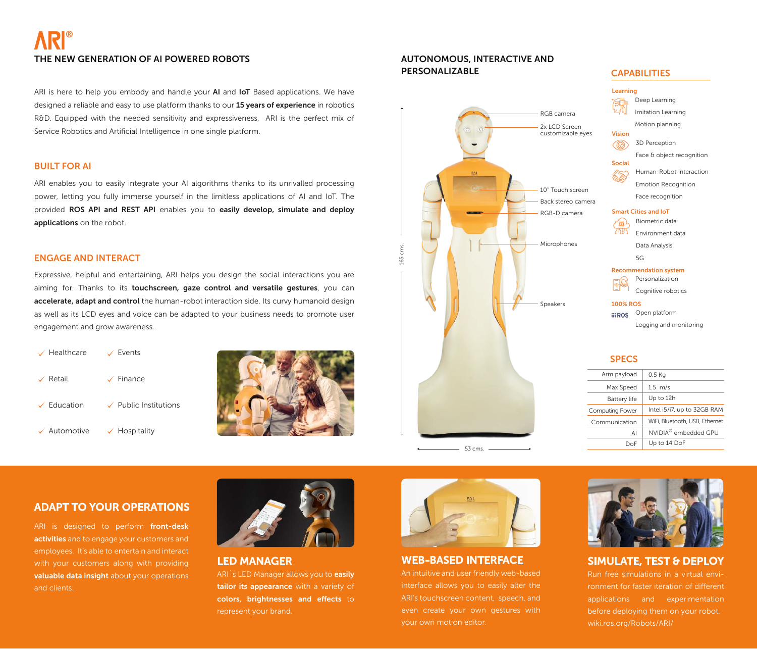# ® THE NEW GENERATION OF AI POWERED ROBOTS

ARI is here to help you embody and handle your AI and IoT Based applications. We have designed a reliable and easy to use platform thanks to our 15 years of experience in robotics R&D. Equipped with the needed sensitivity and expressiveness, ARI is the perfect mix of Service Robotics and Artificial Intelligence in one single platform.

### BUILT FOR AI

ARI enables you to easily integrate your AI algorithms thanks to its unrivalled processing power, letting you fully immerse yourself in the limitless applications of AI and IoT. The provided ROS API and REST API enables you to easily develop, simulate and deploy applications on the robot.

#### ENGAGE AND INTERACT

Expressive, helpful and entertaining, ARI helps you design the social interactions you are aiming for. Thanks to its touchscreen, gaze control and versatile gestures, you can accelerate, adapt and control the human-robot interaction side. Its curvy humanoid design as well as its LCD eyes and voice can be adapted to your business needs to promote user engagement and grow awareness.

| $\sqrt{\ }$ Healthcare  | $\sqrt{\phantom{0}}$ Events    |
|-------------------------|--------------------------------|
| $\vee$ Retail           | $\checkmark$ Finance           |
| $\checkmark$ Education  | $\sqrt{ }$ Public Institutions |
| $\checkmark$ Automotive | $\checkmark$ Hospitality       |



### AUTONOMOUS, INTERACTIVE AND PERSONALIZABLE



## **CAPABILITIES**



#### **SPECS**

| Arm payload            | 0.5 Kg                           |
|------------------------|----------------------------------|
| Max Speed              | $1.5 \text{ m/s}$                |
| Battery life           | Up to 12h                        |
| <b>Computing Power</b> | Intel i5/i7, up to 32GB RAM      |
| Communication          | WiFi, Bluetooth, USB, Ethernet   |
| AI                     | NVIDIA <sup>®</sup> embedded GPU |
| Doe                    | Up to 14 DoF                     |

## ADAPT TO YOUR OPERATIONS

ARI is designed to perform front-desk activities and to engage your customers and employees. It's able to entertain and interact with your customers along with providing valuable data insight about your operations and clients.



LED MANAGER ARI<sup>'</sup>s LED Manager allows you to **easily** tailor its appearance with a variety of colors, brightnesses and effects to represent your brand.



 $-53$  cms. -

165 cms.

L65 cms.

## WEB-BASED INTERFACE

An intuitive and user friendly web-based interface allows you to easily alter the ARI's touchscreen content, speech, and even create your own gestures with your own motion editor.



## SIMULATE, TEST & DEPLOY

Run free simulations in a virtual environment for faster iteration of different applications and experimentation before deploying them on your robot. wiki.ros.org/Robots/ARI/